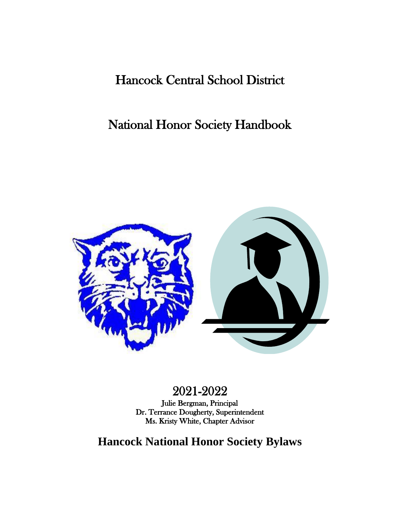### Hancock Central School District

## National Honor Society Handbook



### 2021-2022

Julie Bergman, Principal Dr. Terrance Dougherty, Superintendent Ms. Kristy White, Chapter Advisor

**Hancock National Honor Society Bylaws**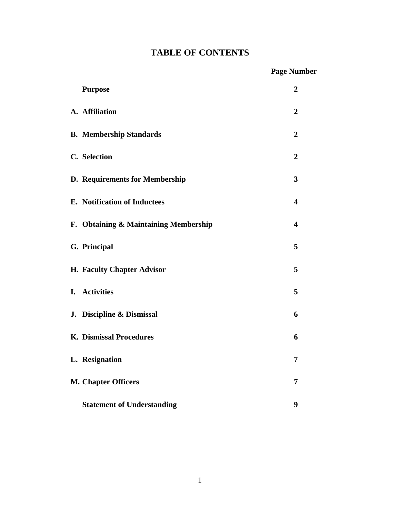### **TABLE OF CONTENTS**

|                                       | <b>Page Number</b>      |
|---------------------------------------|-------------------------|
| <b>Purpose</b>                        | $\boldsymbol{2}$        |
| A. Affiliation                        | $\boldsymbol{2}$        |
| <b>B.</b> Membership Standards        | $\boldsymbol{2}$        |
| C. Selection                          | $\boldsymbol{2}$        |
| D. Requirements for Membership        | 3                       |
| <b>E.</b> Notification of Inductees   | $\overline{\mathbf{4}}$ |
| F. Obtaining & Maintaining Membership | $\overline{\mathbf{4}}$ |
| G. Principal                          | 5                       |
| <b>H. Faculty Chapter Advisor</b>     | 5                       |
| I. Activities                         | 5                       |
| J. Discipline & Dismissal             | 6                       |
| <b>K. Dismissal Procedures</b>        | 6                       |
| L. Resignation                        | 7                       |
| <b>M. Chapter Officers</b>            | 7                       |
| <b>Statement of Understanding</b>     | 9                       |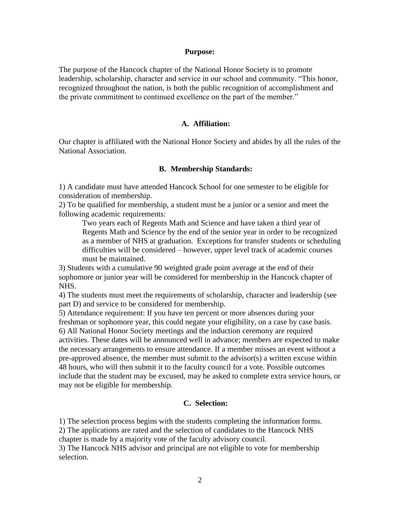#### **Purpose:**

The purpose of the Hancock chapter of the National Honor Society is to promote leadership, scholarship, character and service in our school and community. "This honor, recognized throughout the nation, is both the public recognition of accomplishment and the private commitment to continued excellence on the part of the member."

#### **A. Affiliation:**

Our chapter is affiliated with the National Honor Society and abides by all the rules of the National Association.

#### **B. Membership Standards:**

1) A candidate must have attended Hancock School for one semester to be eligible for consideration of membership.

2) To be qualified for membership, a student must be a junior or a senior and meet the following academic requirements:

Two years each of Regents Math and Science and have taken a third year of Regents Math and Science by the end of the senior year in order to be recognized as a member of NHS at graduation. Exceptions for transfer students or scheduling difficulties will be considered – however, upper level track of academic courses must be maintained.

3) Students with a cumulative 90 weighted grade point average at the end of their sophomore or junior year will be considered for membership in the Hancock chapter of NHS.

4) The students must meet the requirements of scholarship, character and leadership (see part D) and service to be considered for membership.

5) Attendance requirement: If you have ten percent or more absences during your freshman or sophomore year, this could negate your eligibility, on a case by case basis. 6) All National Honor Society meetings and the induction ceremony are required activities. These dates will be announced well in advance; members are expected to make the necessary arrangements to ensure attendance. If a member misses an event without a pre-approved absence, the member must submit to the advisor(s) a written excuse within 48 hours, who will then submit it to the faculty council for a vote. Possible outcomes include that the student may be excused, may be asked to complete extra service hours, or may not be eligible for membership.

#### **C. Selection:**

1) The selection process begins with the students completing the information forms.

2) The applications are rated and the selection of candidates to the Hancock NHS

chapter is made by a majority vote of the faculty advisory council.

3) The Hancock NHS advisor and principal are not eligible to vote for membership selection.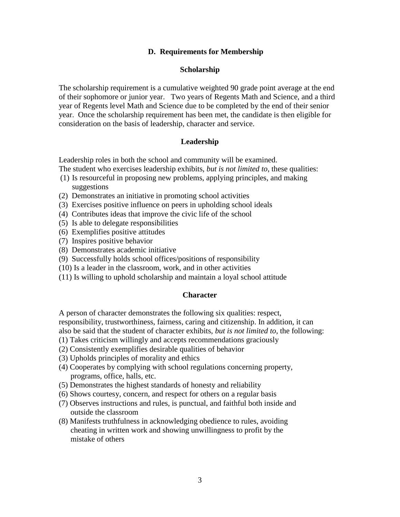#### **D. Requirements for Membership**

#### **Scholarship**

The scholarship requirement is a cumulative weighted 90 grade point average at the end of their sophomore or junior year. Two years of Regents Math and Science, and a third year of Regents level Math and Science due to be completed by the end of their senior year. Once the scholarship requirement has been met, the candidate is then eligible for consideration on the basis of leadership, character and service.

#### **Leadership**

Leadership roles in both the school and community will be examined. The student who exercises leadership exhibits, *but is not limited to*, these qualities:

- (1) Is resourceful in proposing new problems, applying principles, and making suggestions
- (2) Demonstrates an initiative in promoting school activities
- (3) Exercises positive influence on peers in upholding school ideals
- (4) Contributes ideas that improve the civic life of the school
- (5) Is able to delegate responsibilities
- (6) Exemplifies positive attitudes
- (7) Inspires positive behavior
- (8) Demonstrates academic initiative
- (9) Successfully holds school offices/positions of responsibility
- (10) Is a leader in the classroom, work, and in other activities
- (11) Is willing to uphold scholarship and maintain a loyal school attitude

#### **Character**

A person of character demonstrates the following six qualities: respect, responsibility, trustworthiness, fairness, caring and citizenship. In addition, it can also be said that the student of character exhibits, *but is not limited to*, the following:

- (1) Takes criticism willingly and accepts recommendations graciously
- (2) Consistently exemplifies desirable qualities of behavior
- (3) Upholds principles of morality and ethics
- (4) Cooperates by complying with school regulations concerning property, programs, office, halls, etc.
- (5) Demonstrates the highest standards of honesty and reliability
- (6) Shows courtesy, concern, and respect for others on a regular basis
- (7) Observes instructions and rules, is punctual, and faithful both inside and outside the classroom
- (8) Manifests truthfulness in acknowledging obedience to rules, avoiding cheating in written work and showing unwillingness to profit by the mistake of others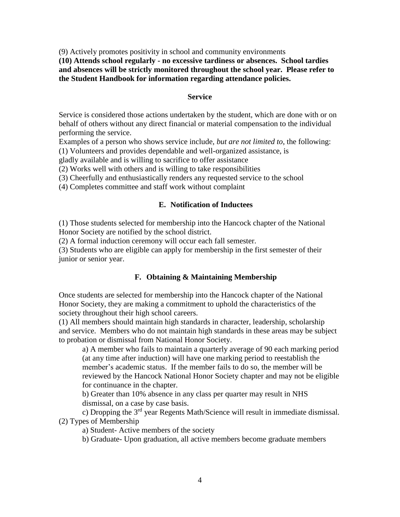(9) Actively promotes positivity in school and community environments

**(10) Attends school regularly - no excessive tardiness or absences. School tardies and absences will be strictly monitored throughout the school year. Please refer to the Student Handbook for information regarding attendance policies.**

#### **Service**

Service is considered those actions undertaken by the student, which are done with or on behalf of others without any direct financial or material compensation to the individual performing the service.

Examples of a person who shows service include, *but are not limited to*, the following:

(1) Volunteers and provides dependable and well-organized assistance, is

gladly available and is willing to sacrifice to offer assistance

(2) Works well with others and is willing to take responsibilities

(3) Cheerfully and enthusiastically renders any requested service to the school

(4) Completes committee and staff work without complaint

#### **E. Notification of Inductees**

(1) Those students selected for membership into the Hancock chapter of the National Honor Society are notified by the school district.

(2) A formal induction ceremony will occur each fall semester.

(3) Students who are eligible can apply for membership in the first semester of their junior or senior year.

#### **F. Obtaining & Maintaining Membership**

Once students are selected for membership into the Hancock chapter of the National Honor Society, they are making a commitment to uphold the characteristics of the society throughout their high school careers.

(1) All members should maintain high standards in character, leadership, scholarship and service. Members who do not maintain high standards in these areas may be subject to probation or dismissal from National Honor Society.

a) A member who fails to maintain a quarterly average of 90 each marking period (at any time after induction) will have one marking period to reestablish the member's academic status. If the member fails to do so, the member will be reviewed by the Hancock National Honor Society chapter and may not be eligible for continuance in the chapter.

b) Greater than 10% absence in any class per quarter may result in NHS dismissal, on a case by case basis.

c) Dropping the 3rd year Regents Math/Science will result in immediate dismissal. (2) Types of Membership

a) Student- Active members of the society

b) Graduate- Upon graduation, all active members become graduate members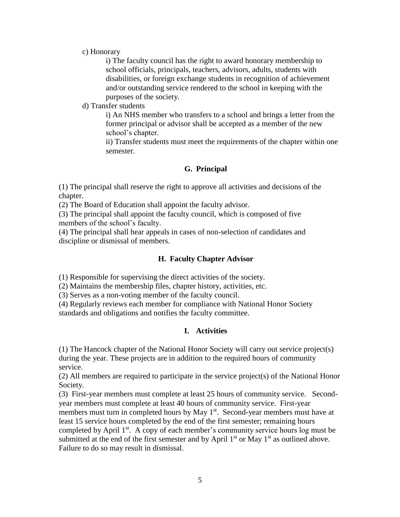#### c) Honorary

i) The faculty council has the right to award honorary membership to school officials, principals, teachers, advisors, adults, students with disabilities, or foreign exchange students in recognition of achievement and/or outstanding service rendered to the school in keeping with the purposes of the society.

#### d) Transfer students

i) An NHS member who transfers to a school and brings a letter from the former principal or advisor shall be accepted as a member of the new school's chapter.

ii) Transfer students must meet the requirements of the chapter within one semester.

#### **G. Principal**

(1) The principal shall reserve the right to approve all activities and decisions of the chapter.

(2) The Board of Education shall appoint the faculty advisor.

(3) The principal shall appoint the faculty council, which is composed of five members of the school's faculty.

(4) The principal shall hear appeals in cases of non-selection of candidates and discipline or dismissal of members.

#### **H. Faculty Chapter Advisor**

(1) Responsible for supervising the direct activities of the society.

(2) Maintains the membership files, chapter history, activities, etc.

(3) Serves as a non-voting member of the faculty council.

(4) Regularly reviews each member for compliance with National Honor Society standards and obligations and notifies the faculty committee.

#### **I. Activities**

(1) The Hancock chapter of the National Honor Society will carry out service project(s) during the year. These projects are in addition to the required hours of community service.

(2) All members are required to participate in the service project(s) of the National Honor Society.

(3) First-year members must complete at least 25 hours of community service. Secondyear members must complete at least 40 hours of community service. First-year members must turn in completed hours by May 1<sup>st</sup>. Second-year members must have at least 15 service hours completed by the end of the first semester; remaining hours completed by April  $1<sup>st</sup>$ . A copy of each member's community service hours log must be submitted at the end of the first semester and by April  $1<sup>st</sup>$  or May  $1<sup>st</sup>$  as outlined above. Failure to do so may result in dismissal.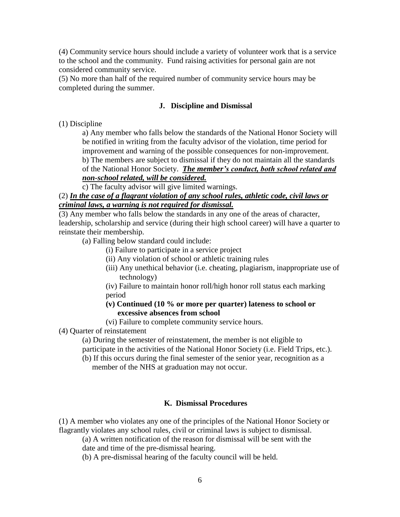(4) Community service hours should include a variety of volunteer work that is a service to the school and the community. Fund raising activities for personal gain are not considered community service.

(5) No more than half of the required number of community service hours may be completed during the summer.

#### **J. Discipline and Dismissal**

(1) Discipline

a) Any member who falls below the standards of the National Honor Society will be notified in writing from the faculty advisor of the violation, time period for improvement and warning of the possible consequences for non-improvement. b) The members are subject to dismissal if they do not maintain all the standards of the National Honor Society. *The member's conduct, both school related and non-school related, will be considered.*

c) The faculty advisor will give limited warnings.

(2) *In the case of a flagrant violation of any school rules, athletic code, civil laws or criminal laws, a warning is not required for dismissal.*

(3) Any member who falls below the standards in any one of the areas of character, leadership, scholarship and service (during their high school career) will have a quarter to reinstate their membership.

(a) Falling below standard could include:

- (i) Failure to participate in a service project
- (ii) Any violation of school or athletic training rules
- (iii) Any unethical behavior (i.e. cheating, plagiarism, inappropriate use of technology)

(iv) Failure to maintain honor roll/high honor roll status each marking period

**(v) Continued (10 % or more per quarter) lateness to school or excessive absences from school**

(vi) Failure to complete community service hours.

(4) Quarter of reinstatement

(a) During the semester of reinstatement, the member is not eligible to participate in the activities of the National Honor Society (i.e. Field Trips, etc.).

(b) If this occurs during the final semester of the senior year, recognition as a member of the NHS at graduation may not occur.

#### **K. Dismissal Procedures**

(1) A member who violates any one of the principles of the National Honor Society or flagrantly violates any school rules, civil or criminal laws is subject to dismissal.

(a) A written notification of the reason for dismissal will be sent with the date and time of the pre-dismissal hearing.

(b) A pre-dismissal hearing of the faculty council will be held.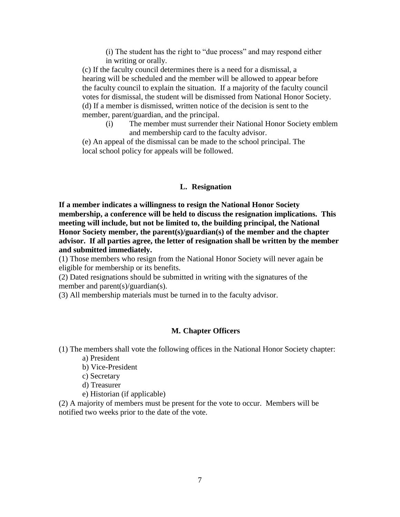(i) The student has the right to "due process" and may respond either in writing or orally.

(c) If the faculty council determines there is a need for a dismissal, a hearing will be scheduled and the member will be allowed to appear before the faculty council to explain the situation. If a majority of the faculty council votes for dismissal, the student will be dismissed from National Honor Society. (d) If a member is dismissed, written notice of the decision is sent to the member, parent/guardian, and the principal.

(i) The member must surrender their National Honor Society emblem and membership card to the faculty advisor.

(e) An appeal of the dismissal can be made to the school principal. The local school policy for appeals will be followed.

#### **L. Resignation**

**If a member indicates a willingness to resign the National Honor Society membership, a conference will be held to discuss the resignation implications. This meeting will include, but not be limited to, the building principal, the National Honor Society member, the parent(s)/guardian(s) of the member and the chapter advisor. If all parties agree, the letter of resignation shall be written by the member and submitted immediately.**

(1) Those members who resign from the National Honor Society will never again be eligible for membership or its benefits.

(2) Dated resignations should be submitted in writing with the signatures of the member and parent(s)/guardian(s).

(3) All membership materials must be turned in to the faculty advisor.

#### **M. Chapter Officers**

(1) The members shall vote the following offices in the National Honor Society chapter:

- a) President
- b) Vice-President
- c) Secretary
- d) Treasurer
- e) Historian (if applicable)

(2) A majority of members must be present for the vote to occur. Members will be notified two weeks prior to the date of the vote.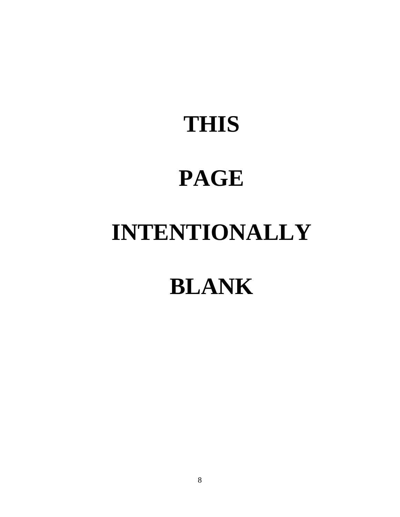# **THIS**

# **PAGE**

# **INTENTIONALLY**

# **BLANK**